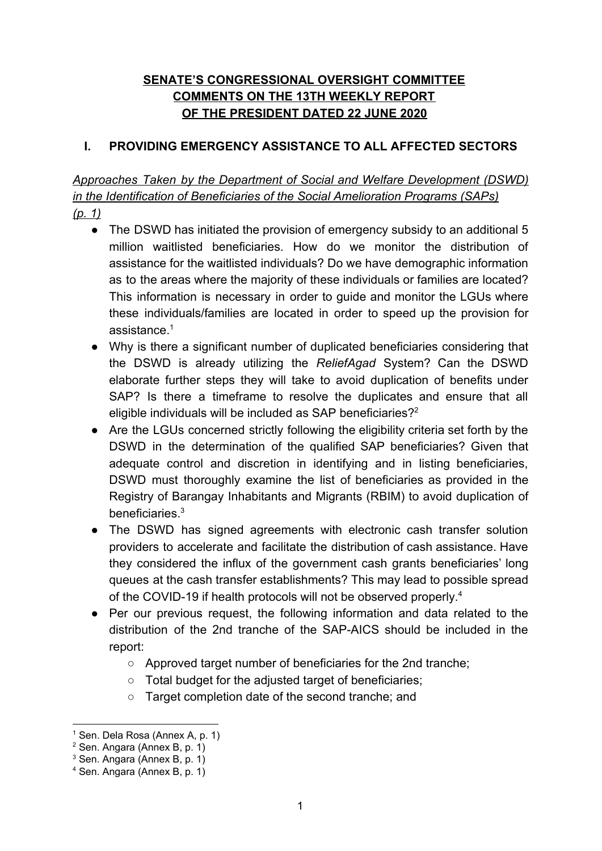# **SENATE'S CONGRESSIONAL OVERSIGHT COMMITTEE COMMENTS ON THE 13TH WEEKLY REPORT OF THE PRESIDENT DATED 22 JUNE 2020**

### **I. PROVIDING EMERGENCY ASSISTANCE TO ALL AFFECTED SECTORS**

*Approaches Taken by the Department of Social and Welfare Development (DSWD) in the Identification of Beneficiaries of the Social Amelioration Programs (SAPs) (p. 1)*

- The DSWD has initiated the provision of emergency subsidy to an additional 5 million waitlisted beneficiaries. How do we monitor the distribution of assistance for the waitlisted individuals? Do we have demographic information as to the areas where the majority of these individuals or families are located? This information is necessary in order to guide and monitor the LGUs where these individuals/families are located in order to speed up the provision for assistance.<sup>1</sup>
- Why is there a significant number of duplicated beneficiaries considering that the DSWD is already utilizing the *ReliefAgad* System? Can the DSWD elaborate further steps they will take to avoid duplication of benefits under SAP? Is there a timeframe to resolve the duplicates and ensure that all eligible individuals will be included as SAP beneficiaries?<sup>2</sup>
- Are the LGUs concerned strictly following the eligibility criteria set forth by the DSWD in the determination of the qualified SAP beneficiaries? Given that adequate control and discretion in identifying and in listing beneficiaries, DSWD must thoroughly examine the list of beneficiaries as provided in the Registry of Barangay Inhabitants and Migrants (RBIM) to avoid duplication of beneficiaries.<sup>3</sup>
- The DSWD has signed agreements with electronic cash transfer solution providers to accelerate and facilitate the distribution of cash assistance. Have they considered the influx of the government cash grants beneficiaries' long queues at the cash transfer establishments? This may lead to possible spread of the COVID-19 if health protocols will not be observed properly.<sup>4</sup>
- Per our previous request, the following information and data related to the distribution of the 2nd tranche of the SAP-AICS should be included in the report:
	- Approved target number of beneficiaries for the 2nd tranche;
	- Total budget for the adjusted target of beneficiaries;
	- Target completion date of the second tranche; and

 $1$  Sen. Dela Rosa (Annex A, p. 1)

<sup>2</sup> Sen. Angara (Annex B, p. 1)

<sup>3</sup> Sen. Angara (Annex B, p. 1)

<sup>4</sup> Sen. Angara (Annex B, p. 1)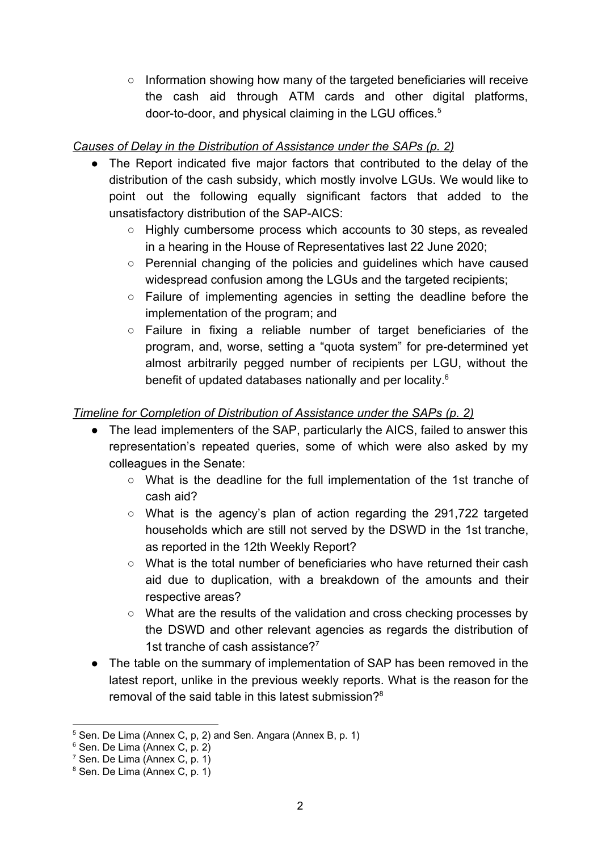○ Information showing how many of the targeted beneficiaries will receive the cash aid through ATM cards and other digital platforms, door-to-door, and physical claiming in the LGU offices.<sup>5</sup>

# *Causes of Delay in the Distribution of Assistance under the SAPs (p. 2)*

- The Report indicated five major factors that contributed to the delay of the distribution of the cash subsidy, which mostly involve LGUs. We would like to point out the following equally significant factors that added to the unsatisfactory distribution of the SAP-AICS:
	- Highly cumbersome process which accounts to 30 steps, as revealed in a hearing in the House of Representatives last 22 June 2020;
	- Perennial changing of the policies and guidelines which have caused widespread confusion among the LGUs and the targeted recipients;
	- Failure of implementing agencies in setting the deadline before the implementation of the program; and
	- Failure in fixing a reliable number of target beneficiaries of the program, and, worse, setting a "quota system" for pre-determined yet almost arbitrarily pegged number of recipients per LGU, without the benefit of updated databases nationally and per locality.<sup>6</sup>

# *Timeline for Completion of Distribution of Assistance under the SAPs (p. 2)*

- The lead implementers of the SAP, particularly the AICS, failed to answer this representation's repeated queries, some of which were also asked by my colleagues in the Senate:
	- What is the deadline for the full implementation of the 1st tranche of cash aid?
	- What is the agency's plan of action regarding the 291,722 targeted households which are still not served by the DSWD in the 1st tranche, as reported in the 12th Weekly Report?
	- $\circ$  What is the total number of beneficiaries who have returned their cash aid due to duplication, with a breakdown of the amounts and their respective areas?
	- What are the results of the validation and cross checking processes by the DSWD and other relevant agencies as regards the distribution of 1st tranche of cash assistance?<sup>7</sup>
- The table on the summary of implementation of SAP has been removed in the latest report, unlike in the previous weekly reports. What is the reason for the removal of the said table in this latest submission?<sup>8</sup>

<sup>5</sup> Sen. De Lima (Annex C, p, 2) and Sen. Angara (Annex B, p. 1)

<sup>6</sup> Sen. De Lima (Annex C, p. 2)

 $7$  Sen. De Lima (Annex C, p. 1)

<sup>8</sup> Sen. De Lima (Annex C, p. 1)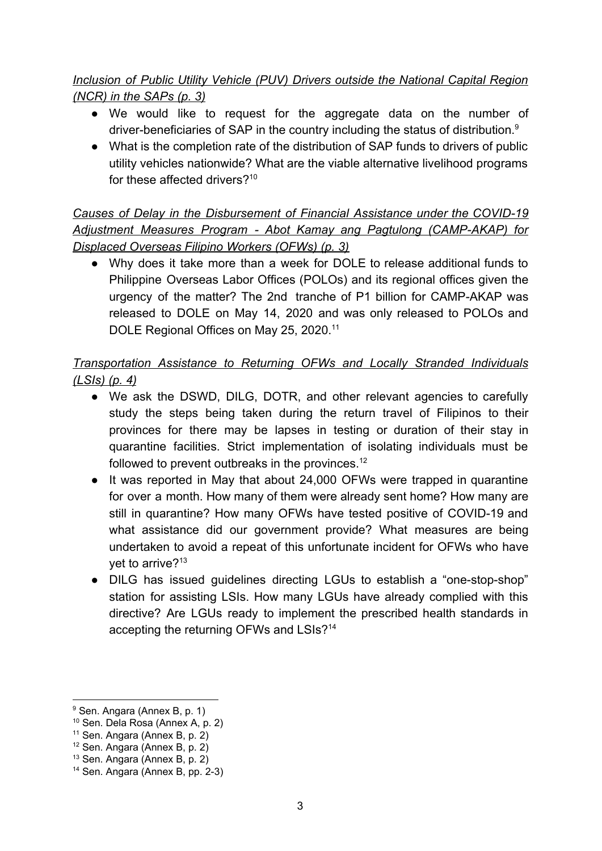# *Inclusion of Public Utility Vehicle (PUV) Drivers outside the National Capital Region (NCR) in the SAPs (p. 3)*

- We would like to request for the aggregate data on the number of driver-beneficiaries of SAP in the country including the status of distribution.<sup>9</sup>
- What is the completion rate of the distribution of SAP funds to drivers of public utility vehicles nationwide? What are the viable alternative livelihood programs for these affected drivers?<sup>10</sup>

*Causes of Delay in the Disbursement of Financial Assistance under the COVID-19 Adjustment Measures Program - Abot Kamay ang Pagtulong (CAMP-AKAP) for Displaced Overseas Filipino Workers (OFWs) (p. 3)*

● Why does it take more than a week for DOLE to release additional funds to Philippine Overseas Labor Offices (POLOs) and its regional offices given the urgency of the matter? The 2nd tranche of P1 billion for CAMP-AKAP was released to DOLE on May 14, 2020 and was only released to POLOs and DOLE Regional Offices on May 25, 2020.<sup>11</sup>

# *Transportation Assistance to Returning OFWs and Locally Stranded Individuals (LSIs) (p. 4)*

- We ask the DSWD, DILG, DOTR, and other relevant agencies to carefully study the steps being taken during the return travel of Filipinos to their provinces for there may be lapses in testing or duration of their stay in quarantine facilities. Strict implementation of isolating individuals must be followed to prevent outbreaks in the provinces.<sup>12</sup>
- It was reported in May that about 24,000 OFWs were trapped in quarantine for over a month. How many of them were already sent home? How many are still in quarantine? How many OFWs have tested positive of COVID-19 and what assistance did our government provide? What measures are being undertaken to avoid a repeat of this unfortunate incident for OFWs who have yet to arrive?<sup>13</sup>
- DILG has issued guidelines directing LGUs to establish a "one-stop-shop" station for assisting LSIs. How many LGUs have already complied with this directive? Are LGUs ready to implement the prescribed health standards in accepting the returning OFWs and LSIs?<sup>14</sup>

<sup>&</sup>lt;sup>9</sup> Sen. Angara (Annex B, p. 1)

<sup>10</sup> Sen. Dela Rosa (Annex A, p. 2)

 $11$  Sen. Angara (Annex B, p. 2)

<sup>12</sup> Sen. Angara (Annex B, p. 2)

<sup>13</sup> Sen. Angara (Annex B, p. 2)

<sup>14</sup> Sen. Angara (Annex B, pp. 2-3)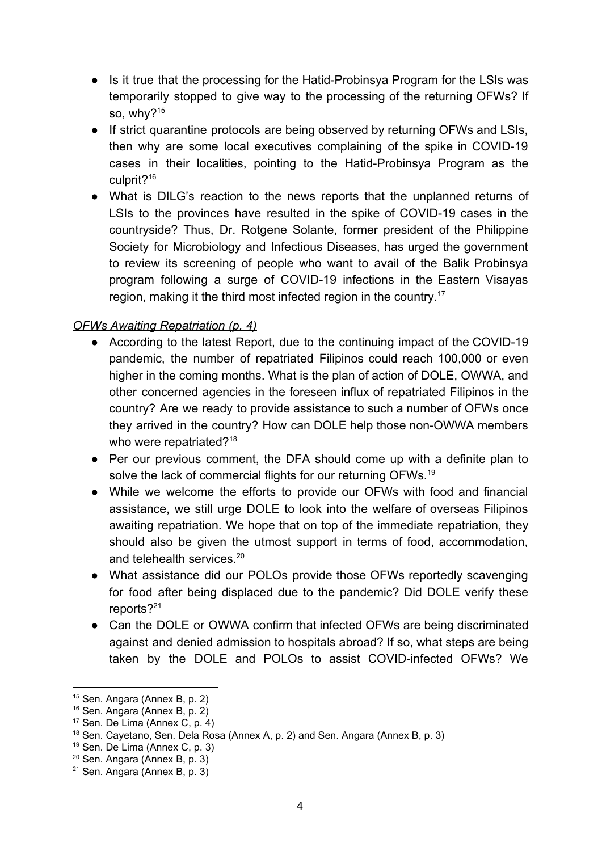- Is it true that the processing for the Hatid-Probinsya Program for the LSIs was temporarily stopped to give way to the processing of the returning OFWs? If so, why? $15$
- If strict quarantine protocols are being observed by returning OFWs and LSIs, then why are some local executives complaining of the spike in COVID-19 cases in their localities, pointing to the Hatid-Probinsya Program as the culprit?<sup>16</sup>
- What is DILG's reaction to the news reports that the unplanned returns of LSIs to the provinces have resulted in the spike of COVID-19 cases in the countryside? Thus, Dr. Rotgene Solante, former president of the Philippine Society for Microbiology and Infectious Diseases, has urged the government to review its screening of people who want to avail of the Balik Probinsya program following a surge of COVID-19 infections in the Eastern Visayas region, making it the third most infected region in the country.<sup>17</sup>

## *OFWs Awaiting Repatriation (p. 4)*

- **●** According to the latest Report, due to the continuing impact of the COVID-19 pandemic, the number of repatriated Filipinos could reach 100,000 or even higher in the coming months. What is the plan of action of DOLE, OWWA, and other concerned agencies in the foreseen influx of repatriated Filipinos in the country? Are we ready to provide assistance to such a number of OFWs once they arrived in the country? How can DOLE help those non-OWWA members who were repatriated?<sup>18</sup>
- Per our previous comment, the DFA should come up with a definite plan to solve the lack of commercial flights for our returning OFWs.<sup>19</sup>
- While we welcome the efforts to provide our OFWs with food and financial assistance, we still urge DOLE to look into the welfare of overseas Filipinos awaiting repatriation. We hope that on top of the immediate repatriation, they should also be given the utmost support in terms of food, accommodation, and telehealth services.<sup>20</sup>
- What assistance did our POLOs provide those OFWs reportedly scavenging for food after being displaced due to the pandemic? Did DOLE verify these reports?<sup>21</sup>
- Can the DOLE or OWWA confirm that infected OFWs are being discriminated against and denied admission to hospitals abroad? If so, what steps are being taken by the DOLE and POLOs to assist COVID-infected OFWs? We

<sup>15</sup> Sen. Angara (Annex B, p. 2)

<sup>16</sup> Sen. Angara (Annex B, p. 2)

<sup>17</sup> Sen. De Lima (Annex C, p. 4)

<sup>&</sup>lt;sup>18</sup> Sen. Cayetano, Sen. Dela Rosa (Annex A, p. 2) and Sen. Angara (Annex B, p. 3)

<sup>19</sup> Sen. De Lima (Annex C, p. 3)

<sup>20</sup> Sen. Angara (Annex B, p. 3)

 $21$  Sen. Angara (Annex B, p. 3)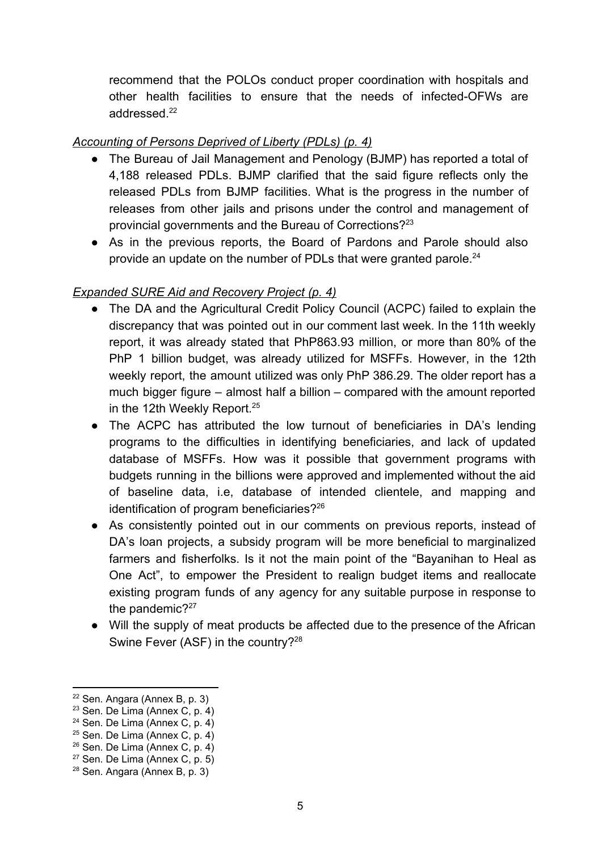recommend that the POLOs conduct proper coordination with hospitals and other health facilities to ensure that the needs of infected-OFWs are addressed.<sup>22</sup>

# *Accounting of Persons Deprived of Liberty (PDLs) (p. 4)*

- The Bureau of Jail Management and Penology (BJMP) has reported a total of 4,188 released PDLs. BJMP clarified that the said figure reflects only the released PDLs from BJMP facilities. What is the progress in the number of releases from other jails and prisons under the control and management of provincial governments and the Bureau of Corrections?<sup>23</sup>
- As in the previous reports, the Board of Pardons and Parole should also provide an update on the number of PDLs that were granted parole.<sup>24</sup>

# *Expanded SURE Aid and Recovery Project (p. 4)*

- The DA and the Agricultural Credit Policy Council (ACPC) failed to explain the discrepancy that was pointed out in our comment last week. In the 11th weekly report, it was already stated that PhP863.93 million, or more than 80% of the PhP 1 billion budget, was already utilized for MSFFs. However, in the 12th weekly report, the amount utilized was only PhP 386.29. The older report has a much bigger figure – almost half a billion – compared with the amount reported in the 12th Weekly Report.<sup>25</sup>
- The ACPC has attributed the low turnout of beneficiaries in DA's lending programs to the difficulties in identifying beneficiaries, and lack of updated database of MSFFs. How was it possible that government programs with budgets running in the billions were approved and implemented without the aid of baseline data, i.e, database of intended clientele, and mapping and identification of program beneficiaries?<sup>26</sup>
- As consistently pointed out in our comments on previous reports, instead of DA's loan projects, a subsidy program will be more beneficial to marginalized farmers and fisherfolks. Is it not the main point of the "Bayanihan to Heal as One Act", to empower the President to realign budget items and reallocate existing program funds of any agency for any suitable purpose in response to the pandemic? $27$
- Will the supply of meat products be affected due to the presence of the African Swine Fever (ASF) in the country?<sup>28</sup>

<sup>22</sup> Sen. Angara (Annex B, p. 3)

 $23$  Sen. De Lima (Annex C, p. 4)

<sup>24</sup> Sen. De Lima (Annex C, p. 4)

 $25$  Sen. De Lima (Annex C, p. 4)

 $26$  Sen. De Lima (Annex C, p. 4)

 $27$  Sen. De Lima (Annex C, p. 5)

<sup>28</sup> Sen. Angara (Annex B, p. 3)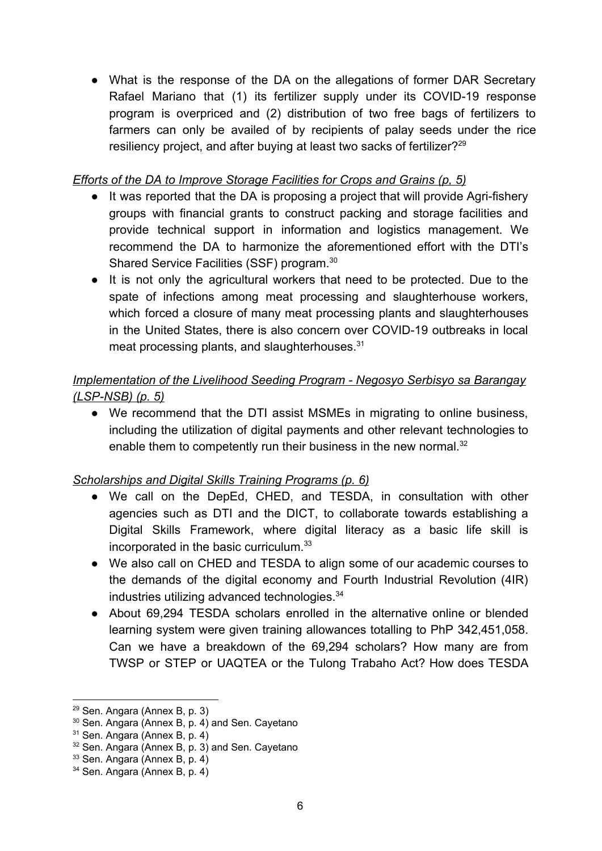• What is the response of the DA on the allegations of former DAR Secretary Rafael Mariano that (1) its fertilizer supply under its COVID-19 response program is overpriced and (2) distribution of two free bags of fertilizers to farmers can only be availed of by recipients of palay seeds under the rice resiliency project, and after buying at least two sacks of fertilizer?<sup>29</sup>

## *Efforts of the DA to Improve Storage Facilities for Crops and Grains (p, 5)*

- It was reported that the DA is proposing a project that will provide Agri-fishery groups with financial grants to construct packing and storage facilities and provide technical support in information and logistics management. We recommend the DA to harmonize the aforementioned effort with the DTI's Shared Service Facilities (SSF) program.<sup>30</sup>
- It is not only the agricultural workers that need to be protected. Due to the spate of infections among meat processing and slaughterhouse workers, which forced a closure of many meat processing plants and slaughterhouses in the United States, there is also concern over COVID-19 outbreaks in local meat processing plants, and slaughterhouses.<sup>31</sup>

# *Implementation of the Livelihood Seeding Program - Negosyo Serbisyo sa Barangay (LSP-NSB) (p. 5)*

● We recommend that the DTI assist MSMEs in migrating to online business, including the utilization of digital payments and other relevant technologies to enable them to competently run their business in the new normal.<sup>32</sup>

# *Scholarships and Digital Skills Training Programs (p. 6)*

- We call on the DepEd, CHED, and TESDA, in consultation with other agencies such as DTI and the DICT, to collaborate towards establishing a Digital Skills Framework, where digital literacy as a basic life skill is incorporated in the basic curriculum.<sup>33</sup>
- We also call on CHED and TESDA to align some of our academic courses to the demands of the digital economy and Fourth Industrial Revolution (4IR) industries utilizing advanced technologies.<sup>34</sup>
- About 69,294 TESDA scholars enrolled in the alternative online or blended learning system were given training allowances totalling to PhP 342,451,058. Can we have a breakdown of the 69,294 scholars? How many are from TWSP or STEP or UAQTEA or the Tulong Trabaho Act? How does TESDA

<sup>29</sup> Sen. Angara (Annex B, p. 3)

<sup>30</sup> Sen. Angara (Annex B, p. 4) and Sen. Cayetano

<sup>31</sup> Sen. Angara (Annex B, p. 4)

<sup>&</sup>lt;sup>32</sup> Sen. Angara (Annex B, p. 3) and Sen. Cayetano

<sup>33</sup> Sen. Angara (Annex B, p. 4)

<sup>34</sup> Sen. Angara (Annex B, p. 4)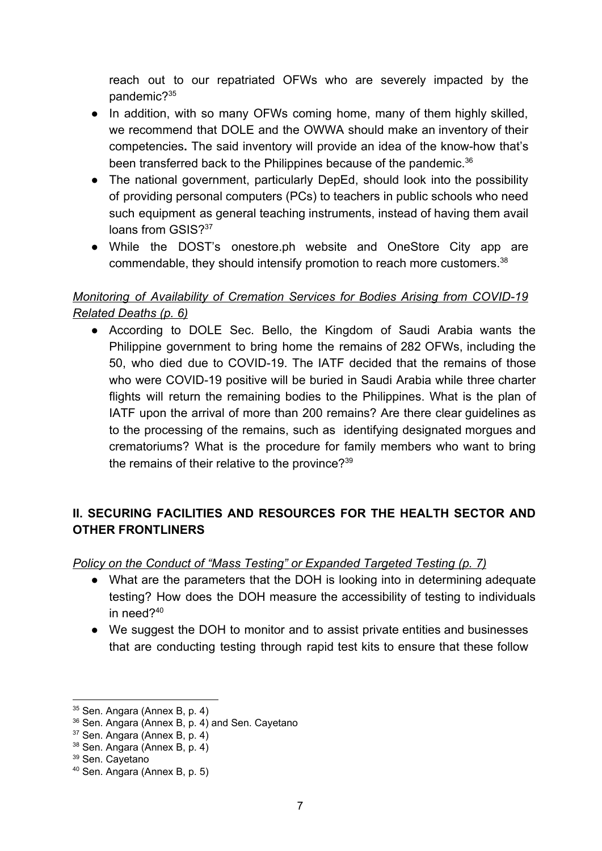reach out to our repatriated OFWs who are severely impacted by the pandemic?<sup>35</sup>

- In addition, with so many OFWs coming home, many of them highly skilled, we recommend that DOLE and the OWWA should make an inventory of their competencies**.** The said inventory will provide an idea of the know-how that's been transferred back to the Philippines because of the pandemic.<sup>36</sup>
- The national government, particularly DepEd, should look into the possibility of providing personal computers (PCs) to teachers in public schools who need such equipment as general teaching instruments, instead of having them avail loans from GSIS?<sup>37</sup>
- While the DOST's onestore.ph website and OneStore City app are commendable, they should intensify promotion to reach more customers.<sup>38</sup>

# *Monitoring of Availability of Cremation Services for Bodies Arising from COVID-19 Related Deaths (p. 6)*

• According to DOLE Sec. Bello, the Kingdom of Saudi Arabia wants the Philippine government to bring home the remains of 282 OFWs, including the 50, who died due to COVID-19. The IATF decided that the remains of those who were COVID-19 positive will be buried in Saudi Arabia while three charter flights will return the remaining bodies to the Philippines. What is the plan of IATF upon the arrival of more than 200 remains? Are there clear guidelines as to the processing of the remains, such as identifying designated morgues and crematoriums? What is the procedure for family members who want to bring the remains of their relative to the province?<sup>39</sup>

# **II. SECURING FACILITIES AND RESOURCES FOR THE HEALTH SECTOR AND OTHER FRONTLINERS**

# *Policy on the Conduct of "Mass Testing" or Expanded Targeted Testing (p. 7)*

- What are the parameters that the DOH is looking into in determining adequate testing? How does the DOH measure the accessibility of testing to individuals in need?<sup>40</sup>
- We suggest the DOH to monitor and to assist private entities and businesses that are conducting testing through rapid test kits to ensure that these follow

<sup>35</sup> Sen. Angara (Annex B, p. 4)

<sup>36</sup> Sen. Angara (Annex B, p. 4) and Sen. Cayetano

<sup>37</sup> Sen. Angara (Annex B, p. 4)

<sup>38</sup> Sen. Angara (Annex B, p. 4)

<sup>39</sup> Sen. Cayetano

<sup>40</sup> Sen. Angara (Annex B, p. 5)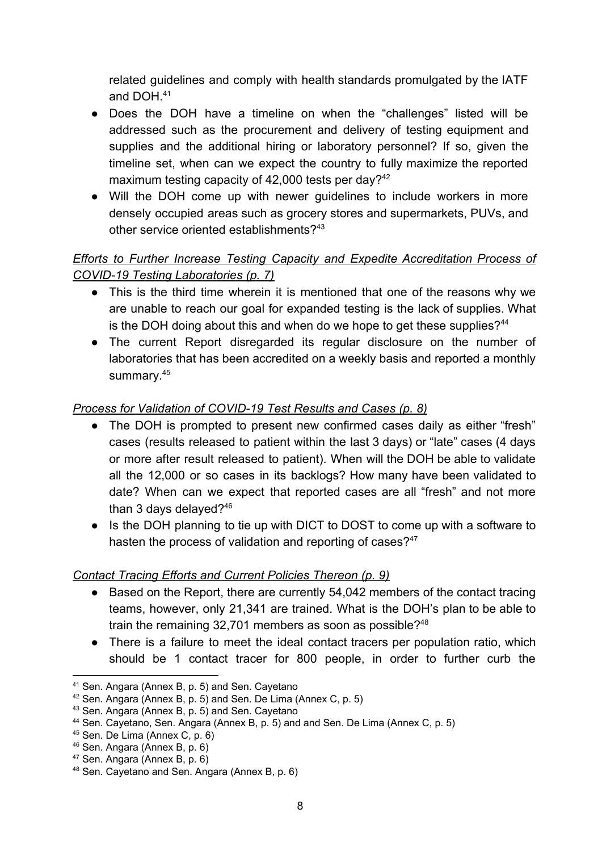related guidelines and comply with health standards promulgated by the IATF and DOH.<sup>41</sup>

- Does the DOH have a timeline on when the "challenges" listed will be addressed such as the procurement and delivery of testing equipment and supplies and the additional hiring or laboratory personnel? If so, given the timeline set, when can we expect the country to fully maximize the reported maximum testing capacity of 42,000 tests per day? $42$
- Will the DOH come up with newer guidelines to include workers in more densely occupied areas such as grocery stores and supermarkets, PUVs, and other service oriented establishments?<sup>43</sup>

# *Efforts to Further Increase Testing Capacity and Expedite Accreditation Process of COVID-19 Testing Laboratories (p. 7)*

- This is the third time wherein it is mentioned that one of the reasons why we are unable to reach our goal for expanded testing is the lack of supplies. What is the DOH doing about this and when do we hope to get these supplies? $44$
- The current Report disregarded its regular disclosure on the number of laboratories that has been accredited on a weekly basis and reported a monthly summary.<sup>45</sup>

# *Process for Validation of COVID-19 Test Results and Cases (p. 8)*

- The DOH is prompted to present new confirmed cases daily as either "fresh" cases (results released to patient within the last 3 days) or "late" cases (4 days or more after result released to patient). When will the DOH be able to validate all the 12,000 or so cases in its backlogs? How many have been validated to date? When can we expect that reported cases are all "fresh" and not more than 3 days delayed?<sup>46</sup>
- Is the DOH planning to tie up with DICT to DOST to come up with a software to hasten the process of validation and reporting of cases?<sup>47</sup>

# *Contact Tracing Efforts and Current Policies Thereon (p. 9)*

- Based on the Report, there are currently 54,042 members of the contact tracing teams, however, only 21,341 are trained. What is the DOH's plan to be able to train the remaining 32,701 members as soon as possible?<sup>48</sup>
- There is a failure to meet the ideal contact tracers per population ratio, which should be 1 contact tracer for 800 people, in order to further curb the

<sup>41</sup> Sen. Angara (Annex B, p. 5) and Sen. Cayetano

<sup>42</sup> Sen. Angara (Annex B, p. 5) and Sen. De Lima (Annex C, p. 5)

<sup>43</sup> Sen. Angara (Annex B, p. 5) and Sen. Cayetano

<sup>44</sup> Sen. Cayetano, Sen. Angara (Annex B, p. 5) and and Sen. De Lima (Annex C, p. 5)

<sup>45</sup> Sen. De Lima (Annex C, p. 6)

<sup>46</sup> Sen. Angara (Annex B, p. 6)

<sup>47</sup> Sen. Angara (Annex B, p. 6)

<sup>48</sup> Sen. Cayetano and Sen. Angara (Annex B, p. 6)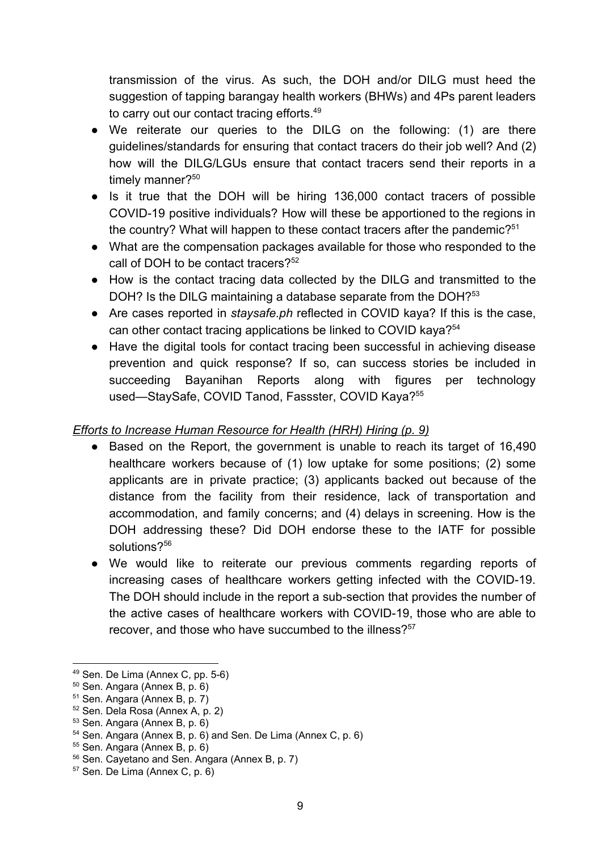transmission of the virus. As such, the DOH and/or DILG must heed the suggestion of tapping barangay health workers (BHWs) and 4Ps parent leaders to carry out our contact tracing efforts.<sup>49</sup>

- We reiterate our queries to the DILG on the following: (1) are there guidelines/standards for ensuring that contact tracers do their job well? And (2) how will the DILG/LGUs ensure that contact tracers send their reports in a timely manner?<sup>50</sup>
- Is it true that the DOH will be hiring 136,000 contact tracers of possible COVID-19 positive individuals? How will these be apportioned to the regions in the country? What will happen to these contact tracers after the pandemic?<sup>51</sup>
- What are the compensation packages available for those who responded to the call of DOH to be contact tracers?<sup>52</sup>
- How is the contact tracing data collected by the DILG and transmitted to the DOH? Is the DILG maintaining a database separate from the DOH?<sup>53</sup>
- Are cases reported in *staysafe.ph* reflected in COVID kaya? If this is the case, can other contact tracing applications be linked to COVID kaya?<sup>54</sup>
- Have the digital tools for contact tracing been successful in achieving disease prevention and quick response? If so, can success stories be included in succeeding Bayanihan Reports along with figures per technology used—StaySafe, COVID Tanod, Fassster, COVID Kaya?<sup>55</sup>

### *Efforts to Increase Human Resource for Health (HRH) Hiring (p. 9)*

- Based on the Report, the government is unable to reach its target of 16,490 healthcare workers because of (1) low uptake for some positions; (2) some applicants are in private practice; (3) applicants backed out because of the distance from the facility from their residence, lack of transportation and accommodation, and family concerns; and (4) delays in screening. How is the DOH addressing these? Did DOH endorse these to the IATF for possible solutions?<sup>56</sup>
- We would like to reiterate our previous comments regarding reports of increasing cases of healthcare workers getting infected with the COVID-19. The DOH should include in the report a sub-section that provides the number of the active cases of healthcare workers with COVID-19, those who are able to recover, and those who have succumbed to the illness?<sup>57</sup>

<sup>49</sup> Sen. De Lima (Annex C, pp. 5-6)

<sup>50</sup> Sen. Angara (Annex B, p. 6)

<sup>51</sup> Sen. Angara (Annex B, p. 7)

<sup>52</sup> Sen. Dela Rosa (Annex A, p. 2)

<sup>53</sup> Sen. Angara (Annex B, p. 6)

<sup>54</sup> Sen. Angara (Annex B, p. 6) and Sen. De Lima (Annex C, p. 6)

<sup>55</sup> Sen. Angara (Annex B, p. 6)

<sup>56</sup> Sen. Cayetano and Sen. Angara (Annex B, p. 7)

<sup>57</sup> Sen. De Lima (Annex C, p. 6)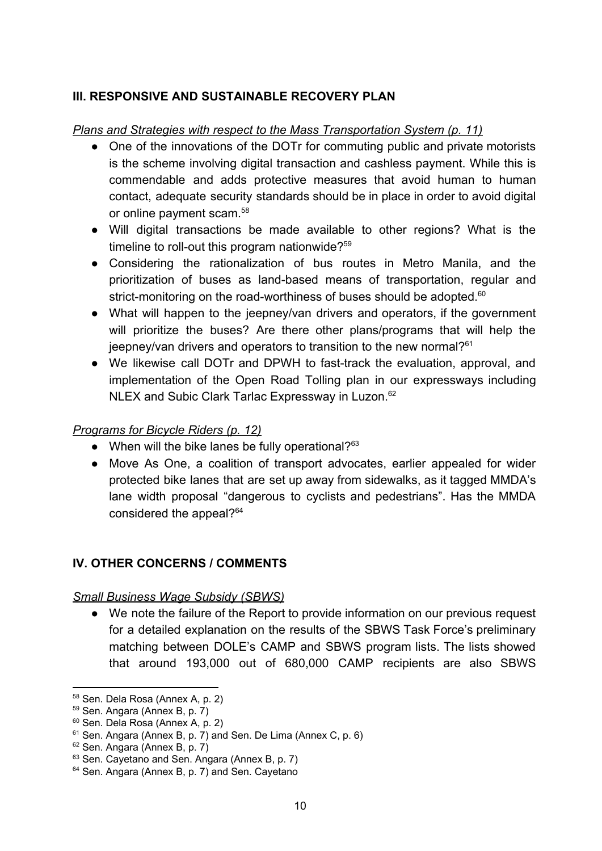## **III. RESPONSIVE AND SUSTAINABLE RECOVERY PLAN**

### *Plans and Strategies with respect to the Mass Transportation System (p. 11)*

- One of the innovations of the DOTr for commuting public and private motorists is the scheme involving digital transaction and cashless payment. While this is commendable and adds protective measures that avoid human to human contact, adequate security standards should be in place in order to avoid digital or online payment scam.<sup>58</sup>
- Will digital transactions be made available to other regions? What is the timeline to roll-out this program nationwide?<sup>59</sup>
- Considering the rationalization of bus routes in Metro Manila, and the prioritization of buses as land-based means of transportation, regular and strict-monitoring on the road-worthiness of buses should be adopted.<sup>60</sup>
- What will happen to the jeepney/van drivers and operators, if the government will prioritize the buses? Are there other plans/programs that will help the jeepney/van drivers and operators to transition to the new normal?<sup>61</sup>
- We likewise call DOTr and DPWH to fast-track the evaluation, approval, and implementation of the Open Road Tolling plan in our expressways including NLEX and Subic Clark Tarlac Expressway in Luzon.<sup>62</sup>

### *Programs for Bicycle Riders (p. 12)*

- $\bullet$  When will the bike lanes be fully operational?<sup>63</sup>
- Move As One, a coalition of transport advocates, earlier appealed for wider protected bike lanes that are set up away from sidewalks, as it tagged MMDA's lane width proposal "dangerous to cyclists and pedestrians". Has the MMDA considered the appeal?<sup>64</sup>

### **IV. OTHER CONCERNS / COMMENTS**

### *Small Business Wage Subsidy (SBWS)*

*●* We note the failure of the Report to provide information on our previous request for a detailed explanation on the results of the SBWS Task Force's preliminary matching between DOLE's CAMP and SBWS program lists. The lists showed that around 193,000 out of 680,000 CAMP recipients are also SBWS

<sup>58</sup> Sen. Dela Rosa (Annex A, p. 2)

<sup>59</sup> Sen. Angara (Annex B, p. 7)

<sup>60</sup> Sen. Dela Rosa (Annex A, p. 2)

<sup>&</sup>lt;sup>61</sup> Sen. Angara (Annex B, p. 7) and Sen. De Lima (Annex C, p. 6)

<sup>62</sup> Sen. Angara (Annex B, p. 7)

<sup>63</sup> Sen. Cayetano and Sen. Angara (Annex B, p. 7)

<sup>&</sup>lt;sup>64</sup> Sen. Angara (Annex B, p. 7) and Sen. Cayetano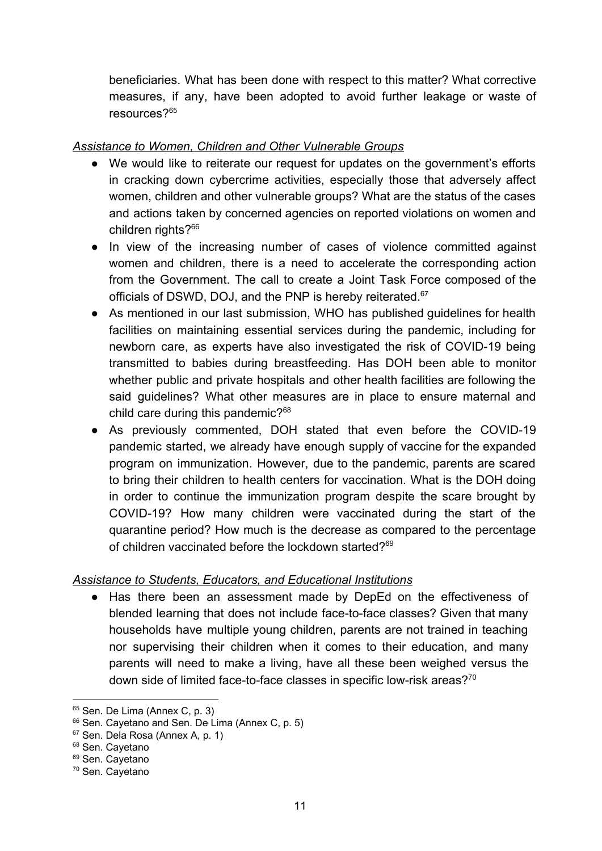beneficiaries. What has been done with respect to this matter? What corrective measures, if any, have been adopted to avoid further leakage or waste of resources?<sup>65</sup>

## *Assistance to Women, Children and Other Vulnerable Groups*

- We would like to reiterate our request for updates on the government's efforts in cracking down cybercrime activities, especially those that adversely affect women, children and other vulnerable groups? What are the status of the cases and actions taken by concerned agencies on reported violations on women and children rights?<sup>66</sup>
- In view of the increasing number of cases of violence committed against women and children, there is a need to accelerate the corresponding action from the Government. The call to create a Joint Task Force composed of the officials of DSWD, DOJ, and the PNP is hereby reiterated.<sup>67</sup>
- As mentioned in our last submission, WHO has published guidelines for health facilities on maintaining essential services during the pandemic, including for newborn care, as experts have also investigated the risk of COVID-19 being transmitted to babies during breastfeeding. Has DOH been able to monitor whether public and private hospitals and other health facilities are following the said guidelines? What other measures are in place to ensure maternal and child care during this pandemic?<sup>68</sup>
- As previously commented, DOH stated that even before the COVID-19 pandemic started, we already have enough supply of vaccine for the expanded program on immunization. However, due to the pandemic, parents are scared to bring their children to health centers for vaccination. What is the DOH doing in order to continue the immunization program despite the scare brought by COVID-19? How many children were vaccinated during the start of the quarantine period? How much is the decrease as compared to the percentage of children vaccinated before the lockdown started?<sup>69</sup>

### *Assistance to Students, Educators, and Educational Institutions*

• Has there been an assessment made by DepEd on the effectiveness of blended learning that does not include face-to-face classes? Given that many households have multiple young children, parents are not trained in teaching nor supervising their children when it comes to their education, and many parents will need to make a living, have all these been weighed versus the down side of limited face-to-face classes in specific low-risk areas?<sup>70</sup>

<sup>&</sup>lt;sup>65</sup> Sen. De Lima (Annex C, p. 3)

<sup>&</sup>lt;sup>66</sup> Sen. Cayetano and Sen. De Lima (Annex C, p. 5)

<sup>67</sup> Sen. Dela Rosa (Annex A, p. 1)

<sup>&</sup>lt;sup>68</sup> Sen. Cayetano

<sup>&</sup>lt;sup>69</sup> Sen. Cayetano

<sup>70</sup> Sen. Cayetano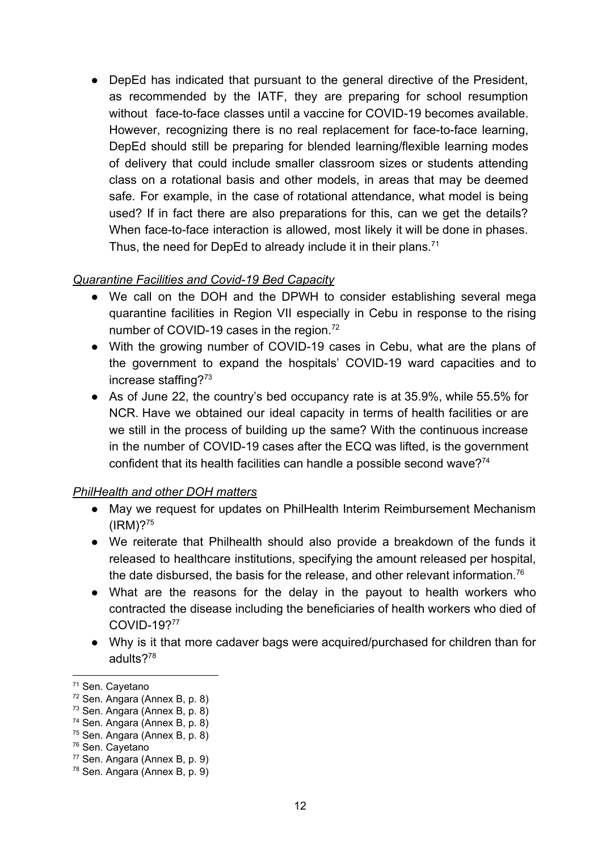• DepEd has indicated that pursuant to the general directive of the President, as recommended by the IATF, they are preparing for school resumption without face-to-face classes until a vaccine for COVID-19 becomes available. However, recognizing there is no real replacement for face-to-face learning, DepEd should still be preparing for blended learning/flexible learning modes of delivery that could include smaller classroom sizes or students attending class on a rotational basis and other models, in areas that may be deemed safe. For example, in the case of rotational attendance, what model is being used? If in fact there are also preparations for this, can we get the details? When face-to-face interaction is allowed, most likely it will be done in phases. Thus, the need for DepEd to already include it in their plans.<sup>71</sup>

## *Quarantine Facilities and Covid-19 Bed Capacity*

- We call on the DOH and the DPWH to consider establishing several mega quarantine facilities in Region VII especially in Cebu in response to the rising number of COVID-19 cases in the region.<sup>72</sup>
- With the growing number of COVID-19 cases in Cebu, what are the plans of the government to expand the hospitals' COVID-19 ward capacities and to increase staffing?<sup>73</sup>
- As of June 22, the country's bed occupancy rate is at 35.9%, while 55.5% for NCR. Have we obtained our ideal capacity in terms of health facilities or are we still in the process of building up the same? With the continuous increase in the number of COVID-19 cases after the ECQ was lifted, is the government confident that its health facilities can handle a possible second wave?<sup>74</sup>

### *PhilHealth and other DOH matters*

- May we request for updates on PhilHealth Interim Reimbursement Mechanism  $(IRM)$ ?<sup>75</sup>
- We reiterate that Philhealth should also provide a breakdown of the funds it released to healthcare institutions, specifying the amount released per hospital, the date disbursed, the basis for the release, and other relevant information.<sup>76</sup>
- What are the reasons for the delay in the payout to health workers who contracted the disease including the beneficiaries of health workers who died of COVID-19?<sup>77</sup>
- Why is it that more cadaver bags were acquired/purchased for children than for adults?<sup>78</sup>

<sup>71</sup> Sen. Cayetano

<sup>72</sup> Sen. Angara (Annex B, p. 8)

<sup>73</sup> Sen. Angara (Annex B, p. 8)

<sup>74</sup> Sen. Angara (Annex B, p. 8)

<sup>75</sup> Sen. Angara (Annex B, p. 8)

<sup>76</sup> Sen. Cayetano

<sup>77</sup> Sen. Angara (Annex B, p. 9)

<sup>78</sup> Sen. Angara (Annex B, p. 9)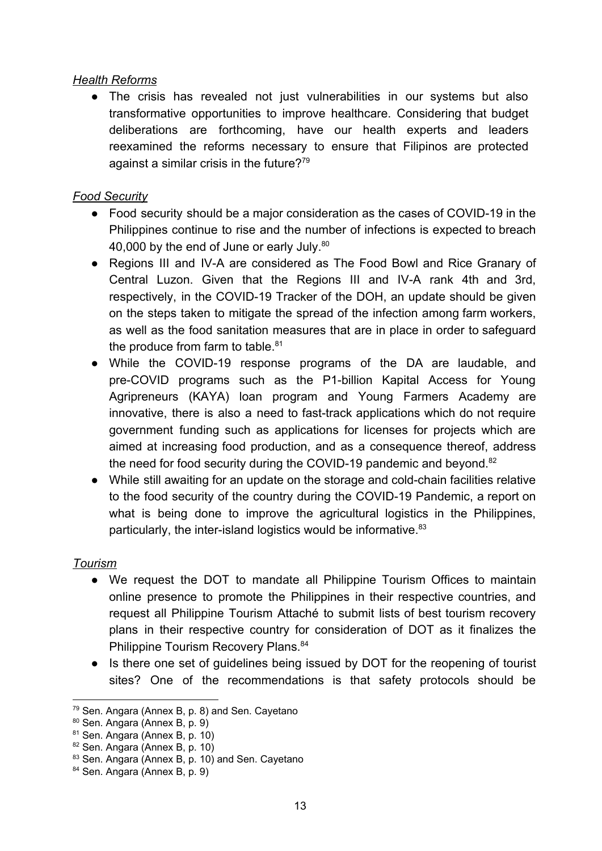#### *Health Reforms*

• The crisis has revealed not just vulnerabilities in our systems but also transformative opportunities to improve healthcare. Considering that budget deliberations are forthcoming, have our health experts and leaders reexamined the reforms necessary to ensure that Filipinos are protected against a similar crisis in the future?<sup>79</sup>

### *Food Security*

- Food security should be a major consideration as the cases of COVID-19 in the Philippines continue to rise and the number of infections is expected to breach 40,000 by the end of June or early July.<sup>80</sup>
- Regions III and IV-A are considered as The Food Bowl and Rice Granary of Central Luzon. Given that the Regions III and IV-A rank 4th and 3rd, respectively, in the COVID-19 Tracker of the DOH, an update should be given on the steps taken to mitigate the spread of the infection among farm workers, as well as the food sanitation measures that are in place in order to safeguard the produce from farm to table. $81$
- While the COVID-19 response programs of the DA are laudable, and pre-COVID programs such as the P1-billion Kapital Access for Young Agripreneurs (KAYA) loan program and Young Farmers Academy are innovative, there is also a need to fast-track applications which do not require government funding such as applications for licenses for projects which are aimed at increasing food production, and as a consequence thereof, address the need for food security during the COVID-19 pandemic and beyond.<sup>82</sup>
- While still awaiting for an update on the storage and cold-chain facilities relative to the food security of the country during the COVID-19 Pandemic, a report on what is being done to improve the agricultural logistics in the Philippines, particularly, the inter-island logistics would be informative.<sup>83</sup>

### *Tourism*

- We request the DOT to mandate all Philippine Tourism Offices to maintain online presence to promote the Philippines in their respective countries, and request all Philippine Tourism Attaché to submit lists of best tourism recovery plans in their respective country for consideration of DOT as it finalizes the Philippine Tourism Recovery Plans.<sup>84</sup>
- Is there one set of guidelines being issued by DOT for the reopening of tourist sites? One of the recommendations is that safety protocols should be

<sup>79</sup> Sen. Angara (Annex B, p. 8) and Sen. Cayetano

<sup>80</sup> Sen. Angara (Annex B, p. 9)

<sup>81</sup> Sen. Angara (Annex B, p. 10)

<sup>82</sup> Sen. Angara (Annex B, p. 10)

<sup>83</sup> Sen. Angara (Annex B, p. 10) and Sen. Cayetano

<sup>84</sup> Sen. Angara (Annex B, p. 9)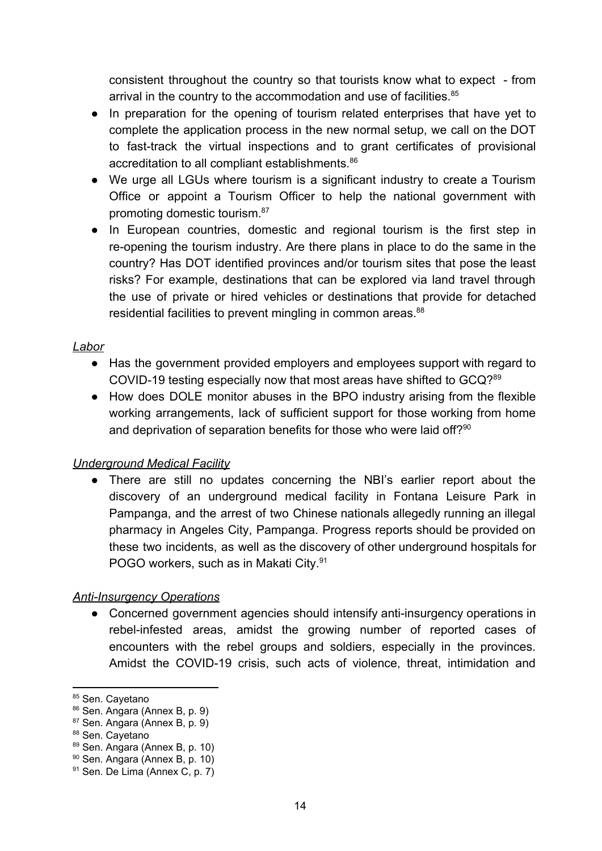consistent throughout the country so that tourists know what to expect - from arrival in the country to the accommodation and use of facilities.<sup>85</sup>

- In preparation for the opening of tourism related enterprises that have yet to complete the application process in the new normal setup, we call on the DOT to fast-track the virtual inspections and to grant certificates of provisional accreditation to all compliant establishments.<sup>86</sup>
- We urge all LGUs where tourism is a significant industry to create a Tourism Office or appoint a Tourism Officer to help the national government with promoting domestic tourism.<sup>87</sup>
- In European countries, domestic and regional tourism is the first step in re-opening the tourism industry. Are there plans in place to do the same in the country? Has DOT identified provinces and/or tourism sites that pose the least risks? For example, destinations that can be explored via land travel through the use of private or hired vehicles or destinations that provide for detached residential facilities to prevent mingling in common areas.<sup>88</sup>

### *Labor*

- Has the government provided employers and employees support with regard to COVID-19 testing especially now that most areas have shifted to GCQ?<sup>89</sup>
- How does DOLE monitor abuses in the BPO industry arising from the flexible working arrangements, lack of sufficient support for those working from home and deprivation of separation benefits for those who were laid off?<sup>90</sup>

### *Underground Medical Facility*

● There are still no updates concerning the NBI's earlier report about the discovery of an underground medical facility in Fontana Leisure Park in Pampanga, and the arrest of two Chinese nationals allegedly running an illegal pharmacy in Angeles City, Pampanga. Progress reports should be provided on these two incidents, as well as the discovery of other underground hospitals for POGO workers, such as in Makati City.<sup>91</sup>

#### *Anti-Insurgency Operations*

● Concerned government agencies should intensify anti-insurgency operations in rebel-infested areas, amidst the growing number of reported cases of encounters with the rebel groups and soldiers, especially in the provinces. Amidst the COVID-19 crisis, such acts of violence, threat, intimidation and

<sup>85</sup> Sen. Cayetano

<sup>86</sup> Sen. Angara (Annex B, p. 9)

<sup>87</sup> Sen. Angara (Annex B, p. 9)

<sup>88</sup> Sen. Cayetano

<sup>89</sup> Sen. Angara (Annex B, p. 10)

<sup>90</sup> Sen. Angara (Annex B, p. 10)

<sup>91</sup> Sen. De Lima (Annex C, p. 7)